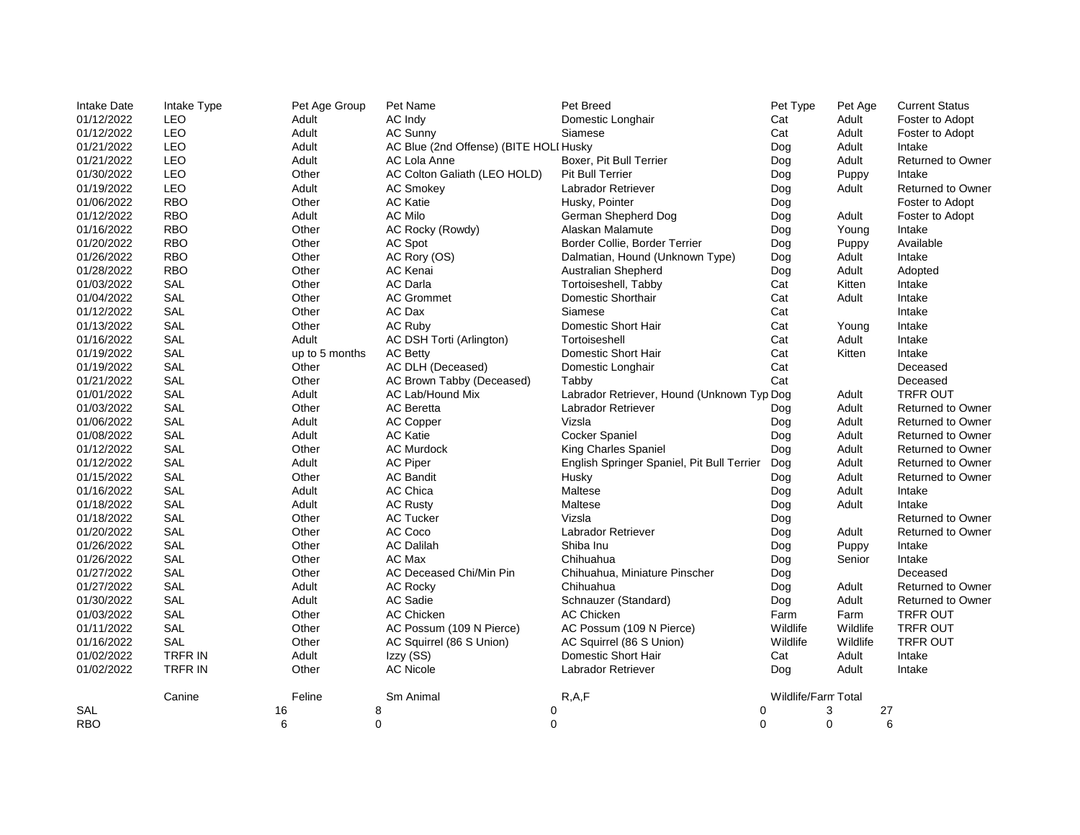| <b>Intake Date</b> | Intake Type | Pet Age Group  | Pet Name                               | Pet Breed                                  | Pet Type            | Pet Age  | <b>Current Status</b>    |
|--------------------|-------------|----------------|----------------------------------------|--------------------------------------------|---------------------|----------|--------------------------|
| 01/12/2022         | <b>LEO</b>  | Adult          | AC Indy                                | Domestic Longhair                          | Cat                 | Adult    | Foster to Adopt          |
| 01/12/2022         | LEO         | Adult          | AC Sunny                               | Siamese                                    | Cat                 | Adult    | Foster to Adopt          |
| 01/21/2022         | <b>LEO</b>  | Adult          | AC Blue (2nd Offense) (BITE HOLI Husky |                                            | Dog                 | Adult    | Intake                   |
| 01/21/2022         | LEO         | Adult          | AC Lola Anne                           | Boxer, Pit Bull Terrier                    | Dog                 | Adult    | Returned to Owner        |
| 01/30/2022         | LEO         | Other          | AC Colton Galiath (LEO HOLD)           | Pit Bull Terrier                           | Dog                 | Puppy    | Intake                   |
| 01/19/2022         | <b>LEO</b>  | Adult          | <b>AC Smokey</b>                       | Labrador Retriever                         | Dog                 | Adult    | <b>Returned to Owner</b> |
| 01/06/2022         | <b>RBO</b>  | Other          | <b>AC Katie</b>                        | Husky, Pointer                             | Dog                 |          | Foster to Adopt          |
| 01/12/2022         | <b>RBO</b>  | Adult          | <b>AC Milo</b>                         | German Shepherd Dog                        | Dog                 | Adult    | Foster to Adopt          |
| 01/16/2022         | <b>RBO</b>  | Other          | AC Rocky (Rowdy)                       | Alaskan Malamute                           | Dog                 | Young    | Intake                   |
| 01/20/2022         | <b>RBO</b>  | Other          | AC Spot                                | Border Collie, Border Terrier              | Dog                 | Puppy    | Available                |
| 01/26/2022         | <b>RBO</b>  | Other          | AC Rory (OS)                           | Dalmatian, Hound (Unknown Type)            | Dog                 | Adult    | Intake                   |
| 01/28/2022         | <b>RBO</b>  | Other          | AC Kenai                               | Australian Shepherd                        | Dog                 | Adult    | Adopted                  |
| 01/03/2022         | <b>SAL</b>  | Other          | <b>AC Darla</b>                        | Tortoiseshell, Tabby                       | Cat                 | Kitten   | Intake                   |
| 01/04/2022         | <b>SAL</b>  | Other          | <b>AC Grommet</b>                      | Domestic Shorthair                         | Cat                 | Adult    | Intake                   |
| 01/12/2022         | SAL         | Other          | AC Dax                                 | Siamese                                    | Cat                 |          | Intake                   |
| 01/13/2022         | <b>SAL</b>  | Other          | AC Ruby                                | Domestic Short Hair                        | Cat                 | Young    | Intake                   |
| 01/16/2022         | SAL         | Adult          | AC DSH Torti (Arlington)               | Tortoiseshell                              | Cat                 | Adult    | Intake                   |
| 01/19/2022         | SAL         | up to 5 months | <b>AC Betty</b>                        | Domestic Short Hair                        | Cat                 | Kitten   | Intake                   |
| 01/19/2022         | <b>SAL</b>  | Other          | AC DLH (Deceased)                      | Domestic Longhair                          | Cat                 |          | Deceased                 |
| 01/21/2022         | SAL         | Other          | AC Brown Tabby (Deceased)              | Tabby                                      | Cat                 |          | Deceased                 |
| 01/01/2022         | SAL         | Adult          | AC Lab/Hound Mix                       | Labrador Retriever, Hound (Unknown Typ Dog |                     | Adult    | <b>TRFR OUT</b>          |
| 01/03/2022         | <b>SAL</b>  | Other          | <b>AC</b> Beretta                      | Labrador Retriever                         | Dog                 | Adult    | <b>Returned to Owner</b> |
| 01/06/2022         | SAL         | Adult          | AC Copper                              | Vizsla                                     | Dog                 | Adult    | <b>Returned to Owner</b> |
| 01/08/2022         | SAL         | Adult          | <b>AC Katie</b>                        | Cocker Spaniel                             | Dog                 | Adult    | <b>Returned to Owner</b> |
| 01/12/2022         | <b>SAL</b>  | Other          | <b>AC Murdock</b>                      | King Charles Spaniel                       | Dog                 | Adult    | <b>Returned to Owner</b> |
| 01/12/2022         | <b>SAL</b>  | Adult          | AC Piper                               | English Springer Spaniel, Pit Bull Terrier | Dog                 | Adult    | <b>Returned to Owner</b> |
| 01/15/2022         | SAL         | Other          | <b>AC Bandit</b>                       | Husky                                      | Dog                 | Adult    | <b>Returned to Owner</b> |
| 01/16/2022         | <b>SAL</b>  | Adult          | <b>AC Chica</b>                        | Maltese                                    | Dog                 | Adult    | Intake                   |
| 01/18/2022         | SAL         | Adult          | <b>AC Rusty</b>                        | Maltese                                    | Dog                 | Adult    | Intake                   |
| 01/18/2022         | SAL         | Other          | <b>AC Tucker</b>                       | Vizsla                                     | Dog                 |          | <b>Returned to Owner</b> |
| 01/20/2022         | <b>SAL</b>  | Other          | AC Coco                                | Labrador Retriever                         | Dog                 | Adult    | <b>Returned to Owner</b> |
| 01/26/2022         | <b>SAL</b>  | Other          | <b>AC Dalilah</b>                      | Shiba Inu                                  | Dog                 | Puppy    | Intake                   |
| 01/26/2022         | SAL         | Other          | AC Max                                 | Chihuahua                                  | Dog                 | Senior   | Intake                   |
| 01/27/2022         | <b>SAL</b>  | Other          | AC Deceased Chi/Min Pin                | Chihuahua, Miniature Pinscher              | Dog                 |          | Deceased                 |
| 01/27/2022         | <b>SAL</b>  | Adult          | <b>AC Rocky</b>                        | Chihuahua                                  | Dog                 | Adult    | <b>Returned to Owner</b> |
| 01/30/2022         | <b>SAL</b>  | Adult          | <b>AC Sadie</b>                        | Schnauzer (Standard)                       | Dog                 | Adult    | <b>Returned to Owner</b> |
| 01/03/2022         | SAL         | Other          | AC Chicken                             | <b>AC Chicken</b>                          | Farm                | Farm     | TRFR OUT                 |
| 01/11/2022         | <b>SAL</b>  | Other          | AC Possum (109 N Pierce)               | AC Possum (109 N Pierce)                   | Wildlife            | Wildlife | <b>TRFR OUT</b>          |
| 01/16/2022         | SAL         | Other          | AC Squirrel (86 S Union)               | AC Squirrel (86 S Union)                   | Wildlife            | Wildlife | <b>TRFR OUT</b>          |
| 01/02/2022         | TRFR IN     | Adult          | Izzy (SS)                              | Domestic Short Hair                        | Cat                 | Adult    | Intake                   |
| 01/02/2022         | TRFR IN     | Other          | <b>AC Nicole</b>                       | Labrador Retriever                         | Dog                 | Adult    | Intake                   |
|                    | Canine      | Feline         | Sm Animal                              | R, A, F                                    | Wildlife/Farm Total |          |                          |
| SAL                |             | 16             | 8                                      | 0<br>0                                     |                     | 3        | 27                       |
| <b>RBO</b>         |             | 6              | $\Omega$                               | $\Omega$<br>$\Omega$                       |                     | $\Omega$ | 6                        |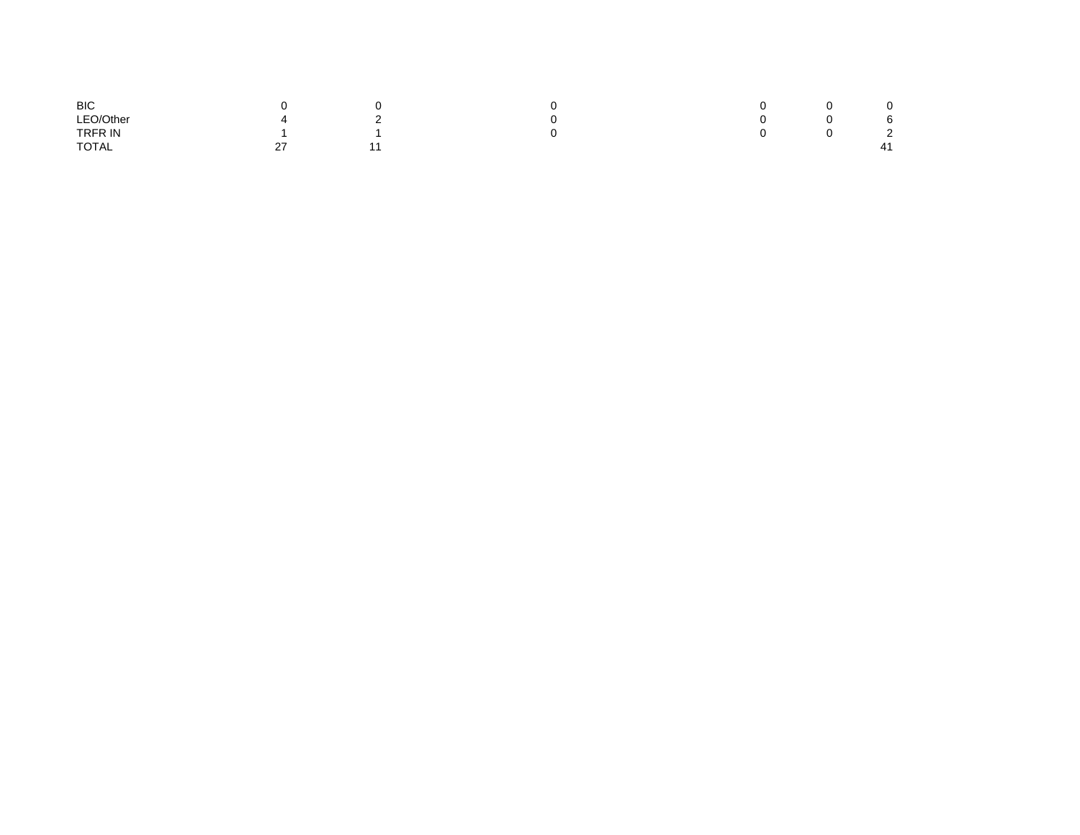| <b>BIC</b> |                  |             |  |                        |  |
|------------|------------------|-------------|--|------------------------|--|
| LEO/Other  | ▵                | $\sim$<br>- |  | $\epsilon$<br><b>D</b> |  |
| TRFR IN    |                  |             |  | $\sim$<br>∼            |  |
| TOTAL      | $\sim$<br>$\sim$ |             |  | 41                     |  |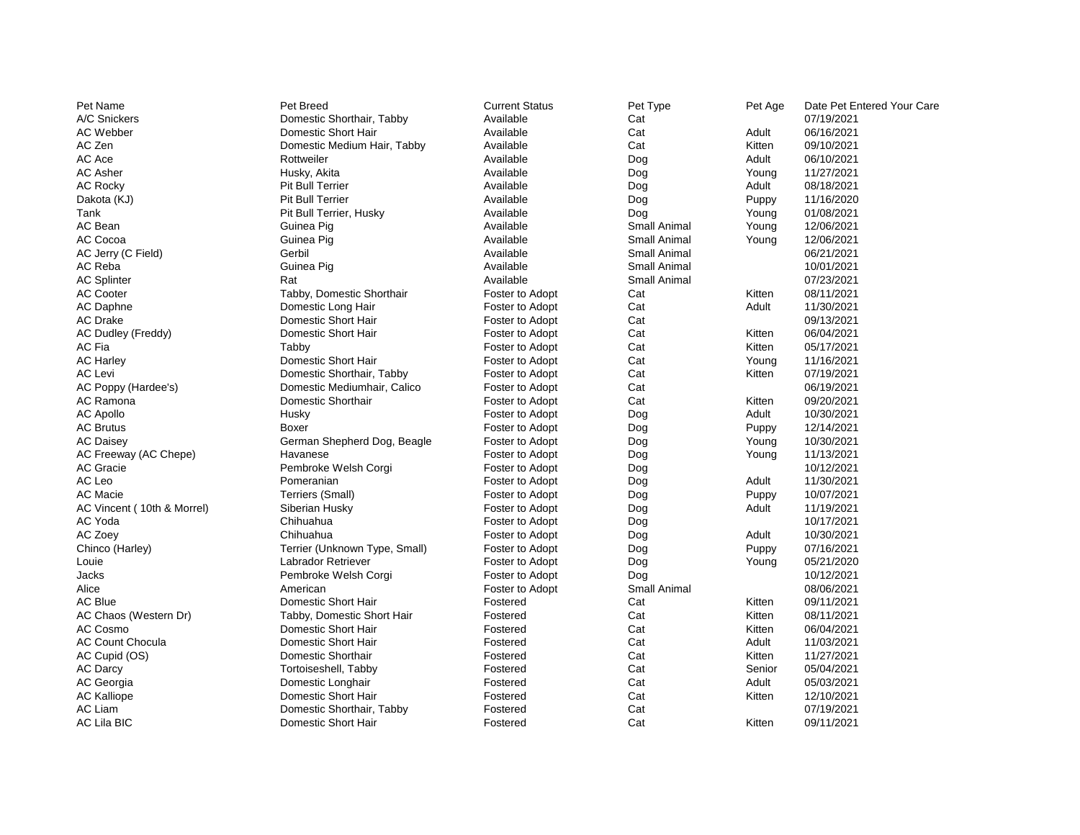| Pet Name                   | Pet Breed                     | <b>Current Status</b> | Pet Type            | Pet Age | Date Pet Entered Your Care |
|----------------------------|-------------------------------|-----------------------|---------------------|---------|----------------------------|
| A/C Snickers               | Domestic Shorthair, Tabby     | Available             | Cat                 |         | 07/19/2021                 |
| <b>AC Webber</b>           | Domestic Short Hair           | Available             | Cat                 | Adult   | 06/16/2021                 |
| AC Zen                     | Domestic Medium Hair, Tabby   | Available             | Cat                 | Kitten  | 09/10/2021                 |
| AC Ace                     | Rottweiler                    | Available             | Dog                 | Adult   | 06/10/2021                 |
| <b>AC Asher</b>            | Husky, Akita                  | Available             | Dog                 | Young   | 11/27/2021                 |
| <b>AC Rocky</b>            | Pit Bull Terrier              | Available             | Dog                 | Adult   | 08/18/2021                 |
| Dakota (KJ)                | <b>Pit Bull Terrier</b>       | Available             | Dog                 | Puppy   | 11/16/2020                 |
| Tank                       | Pit Bull Terrier, Husky       | Available             | Dog                 | Young   | 01/08/2021                 |
| AC Bean                    | Guinea Pig                    | Available             | <b>Small Animal</b> | Young   | 12/06/2021                 |
| AC Cocoa                   | Guinea Pig                    | Available             | <b>Small Animal</b> | Young   | 12/06/2021                 |
| AC Jerry (C Field)         | Gerbil                        | Available             | Small Animal        |         | 06/21/2021                 |
| AC Reba                    | Guinea Pig                    | Available             | <b>Small Animal</b> |         | 10/01/2021                 |
| <b>AC Splinter</b>         | Rat                           | Available             | <b>Small Animal</b> |         | 07/23/2021                 |
| <b>AC Cooter</b>           | Tabby, Domestic Shorthair     | Foster to Adopt       | Cat                 | Kitten  | 08/11/2021                 |
| AC Daphne                  | Domestic Long Hair            | Foster to Adopt       | Cat                 | Adult   | 11/30/2021                 |
| <b>AC Drake</b>            | Domestic Short Hair           | Foster to Adopt       | Cat                 |         | 09/13/2021                 |
| AC Dudley (Freddy)         | Domestic Short Hair           | Foster to Adopt       | Cat                 | Kitten  | 06/04/2021                 |
| AC Fia                     | Tabby                         | Foster to Adopt       | Cat                 | Kitten  | 05/17/2021                 |
| <b>AC Harley</b>           | Domestic Short Hair           | Foster to Adopt       | Cat                 | Young   | 11/16/2021                 |
| <b>AC Levi</b>             | Domestic Shorthair, Tabby     | Foster to Adopt       | Cat                 | Kitten  | 07/19/2021                 |
| AC Poppy (Hardee's)        | Domestic Mediumhair, Calico   | Foster to Adopt       | Cat                 |         | 06/19/2021                 |
| AC Ramona                  | Domestic Shorthair            | Foster to Adopt       | Cat                 | Kitten  | 09/20/2021                 |
| <b>AC Apollo</b>           | Husky                         | Foster to Adopt       | Dog                 | Adult   | 10/30/2021                 |
| <b>AC Brutus</b>           | Boxer                         | Foster to Adopt       | Dog                 | Puppy   | 12/14/2021                 |
| <b>AC Daisey</b>           | German Shepherd Dog, Beagle   | Foster to Adopt       | Dog                 | Young   | 10/30/2021                 |
| AC Freeway (AC Chepe)      | Havanese                      | Foster to Adopt       | Dog                 | Young   | 11/13/2021                 |
| <b>AC Gracie</b>           | Pembroke Welsh Corgi          | Foster to Adopt       | Dog                 |         | 10/12/2021                 |
| AC Leo                     | Pomeranian                    | Foster to Adopt       | Dog                 | Adult   | 11/30/2021                 |
| <b>AC Macie</b>            | Terriers (Small)              | Foster to Adopt       | Dog                 | Puppy   | 10/07/2021                 |
| AC Vincent (10th & Morrel) | Siberian Husky                | Foster to Adopt       | Dog                 | Adult   | 11/19/2021                 |
| AC Yoda                    | Chihuahua                     | Foster to Adopt       | Dog                 |         | 10/17/2021                 |
| AC Zoey                    | Chihuahua                     | Foster to Adopt       | Dog                 | Adult   | 10/30/2021                 |
| Chinco (Harley)            | Terrier (Unknown Type, Small) | Foster to Adopt       | Dog                 | Puppy   | 07/16/2021                 |
| Louie                      | Labrador Retriever            | Foster to Adopt       | Dog                 | Young   | 05/21/2020                 |
| <b>Jacks</b>               | Pembroke Welsh Corgi          | Foster to Adopt       | Dog                 |         | 10/12/2021                 |
| Alice                      | American                      | Foster to Adopt       | <b>Small Animal</b> |         | 08/06/2021                 |
| <b>AC Blue</b>             | Domestic Short Hair           | Fostered              | Cat                 | Kitten  | 09/11/2021                 |
| AC Chaos (Western Dr)      | Tabby, Domestic Short Hair    | Fostered              | Cat                 | Kitten  | 08/11/2021                 |
| AC Cosmo                   | Domestic Short Hair           | Fostered              | Cat                 | Kitten  | 06/04/2021                 |
| <b>AC Count Chocula</b>    | Domestic Short Hair           | Fostered              | Cat                 | Adult   | 11/03/2021                 |
| AC Cupid (OS)              | Domestic Shorthair            | Fostered              | Cat                 | Kitten  | 11/27/2021                 |
| AC Darcy                   | Tortoiseshell, Tabby          | Fostered              | Cat                 | Senior  | 05/04/2021                 |
| AC Georgia                 | Domestic Longhair             | Fostered              | Cat                 | Adult   | 05/03/2021                 |
| <b>AC Kalliope</b>         | Domestic Short Hair           | Fostered              | Cat                 | Kitten  | 12/10/2021                 |
| <b>AC Liam</b>             | Domestic Shorthair, Tabby     | Fostered              | Cat                 |         | 07/19/2021                 |
| <b>AC Lila BIC</b>         | Domestic Short Hair           | Fostered              | Cat                 | Kitten  | 09/11/2021                 |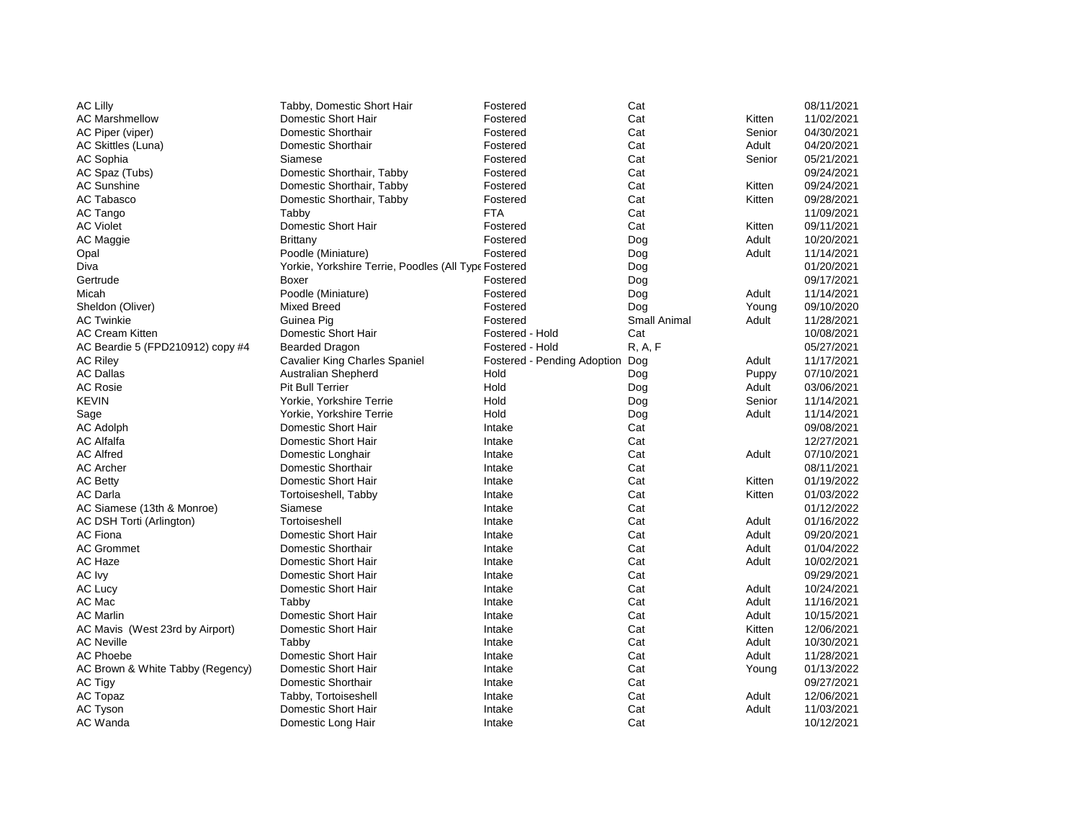| <b>AC Lilly</b>                  | Tabby, Domestic Short Hair                           | Fostered                    | Cat          |        | 08/11/2021 |
|----------------------------------|------------------------------------------------------|-----------------------------|--------------|--------|------------|
| <b>AC Marshmellow</b>            | Domestic Short Hair                                  | Fostered                    | Cat          | Kitten | 11/02/2021 |
| AC Piper (viper)                 | Domestic Shorthair                                   | Fostered                    | Cat          | Senior | 04/30/2021 |
| AC Skittles (Luna)               | Domestic Shorthair                                   | Fostered                    | Cat          | Adult  | 04/20/2021 |
| AC Sophia                        | Siamese                                              | Fostered                    | Cat          | Senior | 05/21/2021 |
| AC Spaz (Tubs)                   | Domestic Shorthair, Tabby                            | Fostered                    | Cat          |        | 09/24/2021 |
| <b>AC Sunshine</b>               | Domestic Shorthair, Tabby                            | Fostered                    | Cat          | Kitten | 09/24/2021 |
| <b>AC Tabasco</b>                | Domestic Shorthair, Tabby                            | Fostered                    | Cat          | Kitten | 09/28/2021 |
| AC Tango                         | Tabby                                                | <b>FTA</b>                  | Cat          |        | 11/09/2021 |
| <b>AC Violet</b>                 | Domestic Short Hair                                  | Fostered                    | Cat          | Kitten | 09/11/2021 |
| AC Maggie                        | Brittany                                             | Fostered                    | Dog          | Adult  | 10/20/2021 |
| Opal                             | Poodle (Miniature)                                   | Fostered                    | Dog          | Adult  | 11/14/2021 |
| Diva                             | Yorkie, Yorkshire Terrie, Poodles (All Type Fostered |                             | Dog          |        | 01/20/2021 |
| Gertrude                         | Boxer                                                | Fostered                    | Dog          |        | 09/17/2021 |
| Micah                            | Poodle (Miniature)                                   | Fostered                    | Dog          | Adult  | 11/14/2021 |
| Sheldon (Oliver)                 | <b>Mixed Breed</b>                                   | Fostered                    | Dog          | Young  | 09/10/2020 |
| <b>AC Twinkie</b>                | Guinea Pig                                           | Fostered                    | Small Animal | Adult  | 11/28/2021 |
| <b>AC Cream Kitten</b>           | Domestic Short Hair                                  | Fostered - Hold             | Cat          |        | 10/08/2021 |
| AC Beardie 5 (FPD210912) copy #4 | <b>Bearded Dragon</b>                                | Fostered - Hold             | R, A, F      |        | 05/27/2021 |
| <b>AC Riley</b>                  | <b>Cavalier King Charles Spaniel</b>                 | Fostered - Pending Adoption | Dog          | Adult  | 11/17/2021 |
| <b>AC Dallas</b>                 | Australian Shepherd                                  | Hold                        | Dog          | Puppy  | 07/10/2021 |
| <b>AC Rosie</b>                  | Pit Bull Terrier                                     | Hold                        | Dog          | Adult  | 03/06/2021 |
| <b>KEVIN</b>                     | Yorkie, Yorkshire Terrie                             | Hold                        | Dog          | Senior | 11/14/2021 |
| Sage                             | Yorkie, Yorkshire Terrie                             | Hold                        | Dog          | Adult  | 11/14/2021 |
| <b>AC Adolph</b>                 | Domestic Short Hair                                  | Intake                      | Cat          |        | 09/08/2021 |
| <b>AC Alfalfa</b>                | Domestic Short Hair                                  | Intake                      | Cat          |        | 12/27/2021 |
| <b>AC Alfred</b>                 | Domestic Longhair                                    | Intake                      | Cat          | Adult  | 07/10/2021 |
| <b>AC Archer</b>                 | Domestic Shorthair                                   | Intake                      | Cat          |        | 08/11/2021 |
| <b>AC Betty</b>                  | Domestic Short Hair                                  | Intake                      | Cat          | Kitten | 01/19/2022 |
| <b>AC Darla</b>                  | Tortoiseshell, Tabby                                 | Intake                      | Cat          | Kitten | 01/03/2022 |
| AC Siamese (13th & Monroe)       | Siamese                                              | Intake                      | Cat          |        | 01/12/2022 |
| AC DSH Torti (Arlington)         | Tortoiseshell                                        | Intake                      | Cat          | Adult  | 01/16/2022 |
| <b>AC Fiona</b>                  | Domestic Short Hair                                  | Intake                      | Cat          | Adult  | 09/20/2021 |
| <b>AC Grommet</b>                | Domestic Shorthair                                   | Intake                      | Cat          | Adult  | 01/04/2022 |
| AC Haze                          | Domestic Short Hair                                  | Intake                      | Cat          | Adult  | 10/02/2021 |
| AC Ivy                           | Domestic Short Hair                                  | Intake                      | Cat          |        | 09/29/2021 |
| AC Lucy                          | Domestic Short Hair                                  | Intake                      | Cat          | Adult  | 10/24/2021 |
| AC Mac                           | Tabby                                                | Intake                      | Cat          | Adult  | 11/16/2021 |
| <b>AC Marlin</b>                 | Domestic Short Hair                                  | Intake                      | Cat          | Adult  | 10/15/2021 |
| AC Mavis (West 23rd by Airport)  | Domestic Short Hair                                  | Intake                      | Cat          | Kitten | 12/06/2021 |
| <b>AC Neville</b>                | Tabby                                                | Intake                      | Cat          | Adult  | 10/30/2021 |
| <b>AC Phoebe</b>                 | Domestic Short Hair                                  | Intake                      | Cat          | Adult  | 11/28/2021 |
| AC Brown & White Tabby (Regency) | Domestic Short Hair                                  | Intake                      | Cat          | Young  | 01/13/2022 |
| AC Tigy                          | Domestic Shorthair                                   | Intake                      | Cat          |        | 09/27/2021 |
| AC Topaz                         | Tabby, Tortoiseshell                                 | Intake                      | Cat          | Adult  | 12/06/2021 |
| <b>AC Tyson</b>                  | Domestic Short Hair                                  | Intake                      | Cat          | Adult  | 11/03/2021 |
| AC Wanda                         | Domestic Long Hair                                   | Intake                      | Cat          |        | 10/12/2021 |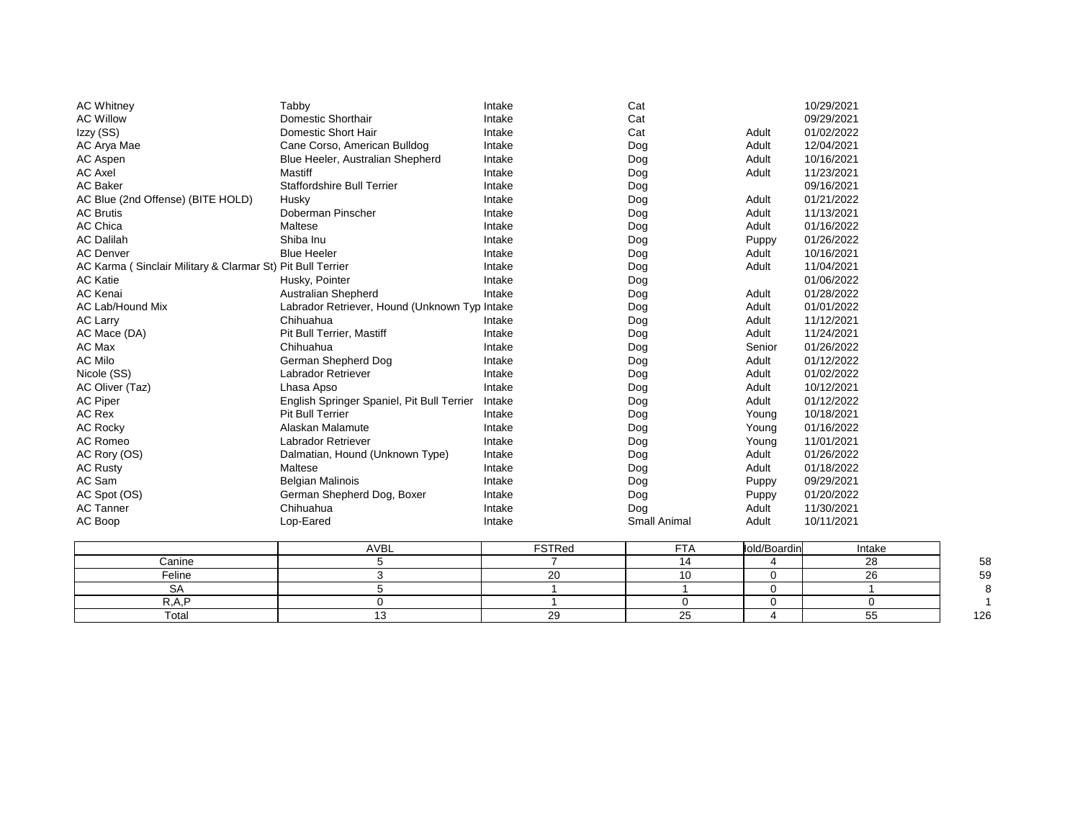| <b>AC Whitney</b>                                          | Tabby                                         | Intake | Cat                 |        | 10/29/2021 |
|------------------------------------------------------------|-----------------------------------------------|--------|---------------------|--------|------------|
| <b>AC Willow</b>                                           | Domestic Shorthair                            | Intake | Cat                 |        | 09/29/2021 |
| Izzy (SS)                                                  | Domestic Short Hair                           | Intake | Cat                 | Adult  | 01/02/2022 |
| AC Arya Mae                                                | Cane Corso, American Bulldog                  | Intake | Dog                 | Adult  | 12/04/2021 |
| AC Aspen                                                   | Blue Heeler, Australian Shepherd              | Intake | Dog                 | Adult  | 10/16/2021 |
| <b>AC Axel</b>                                             | Mastiff                                       | Intake | Dog                 | Adult  | 11/23/2021 |
| <b>AC Baker</b>                                            | <b>Staffordshire Bull Terrier</b>             | Intake | Dog                 |        | 09/16/2021 |
| AC Blue (2nd Offense) (BITE HOLD)                          | Husky                                         | Intake | Dog                 | Adult  | 01/21/2022 |
| <b>AC Brutis</b>                                           | Doberman Pinscher                             | Intake | Dog                 | Adult  | 11/13/2021 |
| <b>AC Chica</b>                                            | Maltese                                       | Intake | Dog                 | Adult  | 01/16/2022 |
| <b>AC Dalilah</b>                                          | Shiba Inu                                     | Intake | Dog                 | Puppy  | 01/26/2022 |
| <b>AC Denver</b>                                           | <b>Blue Heeler</b>                            | Intake | Dog                 | Adult  | 10/16/2021 |
| AC Karma (Sinclair Military & Clarmar St) Pit Bull Terrier |                                               | Intake | Dog                 | Adult  | 11/04/2021 |
| <b>AC Katie</b>                                            | Husky, Pointer                                | Intake | Dog                 |        | 01/06/2022 |
| <b>AC Kenai</b>                                            | <b>Australian Shepherd</b>                    | Intake | Dog                 | Adult  | 01/28/2022 |
| AC Lab/Hound Mix                                           | Labrador Retriever, Hound (Unknown Typ Intake |        | Dog                 | Adult  | 01/01/2022 |
| <b>AC Larry</b>                                            | Chihuahua                                     | Intake | Dog                 | Adult  | 11/12/2021 |
| AC Mace (DA)                                               | Pit Bull Terrier, Mastiff                     | Intake | Dog                 | Adult  | 11/24/2021 |
| AC Max                                                     | Chihuahua                                     | Intake | Dog                 | Senior | 01/26/2022 |
| <b>AC Milo</b>                                             | German Shepherd Dog                           | Intake | Dog                 | Adult  | 01/12/2022 |
| Nicole (SS)                                                | <b>Labrador Retriever</b>                     | Intake | Dog                 | Adult  | 01/02/2022 |
| AC Oliver (Taz)                                            | Lhasa Apso                                    | Intake | Dog                 | Adult  | 10/12/2021 |
| <b>AC Piper</b>                                            | English Springer Spaniel, Pit Bull Terrier    | Intake | Dog                 | Adult  | 01/12/2022 |
| <b>AC Rex</b>                                              | <b>Pit Bull Terrier</b>                       | Intake | Dog                 | Young  | 10/18/2021 |
| <b>AC Rocky</b>                                            | Alaskan Malamute                              | Intake | Dog                 | Young  | 01/16/2022 |
| AC Romeo                                                   | Labrador Retriever                            | Intake | Dog                 | Young  | 11/01/2021 |
| AC Rory (OS)                                               | Dalmatian, Hound (Unknown Type)               | Intake | Dog                 | Adult  | 01/26/2022 |
| <b>AC Rusty</b>                                            | Maltese                                       | Intake | Dog                 | Adult  | 01/18/2022 |
| AC Sam                                                     | <b>Belgian Malinois</b>                       | Intake | Dog                 | Puppy  | 09/29/2021 |
| AC Spot (OS)                                               | German Shepherd Dog, Boxer                    | Intake | Dog                 | Puppy  | 01/20/2022 |
| <b>AC Tanner</b>                                           | Chihuahua                                     | Intake | Dog                 | Adult  | 11/30/2021 |
| AC Boop                                                    | Lop-Eared                                     | Intake | <b>Small Animal</b> | Adult  | 10/11/2021 |

|        | <b>AVBL</b> | $\mathop{\mathsf{''STRed}}$ | $ -$          | lold/Boardin | Intake      |     |
|--------|-------------|-----------------------------|---------------|--------------|-------------|-----|
| Canine |             |                             |               |              | $\sim$<br>∼ | 58  |
| Feline |             |                             |               |              | $\sim$      | 59  |
|        |             |                             |               |              |             |     |
|        |             |                             |               |              |             |     |
| Total  |             | ~                           | $\sim$ $\sim$ |              | ັ           | 126 |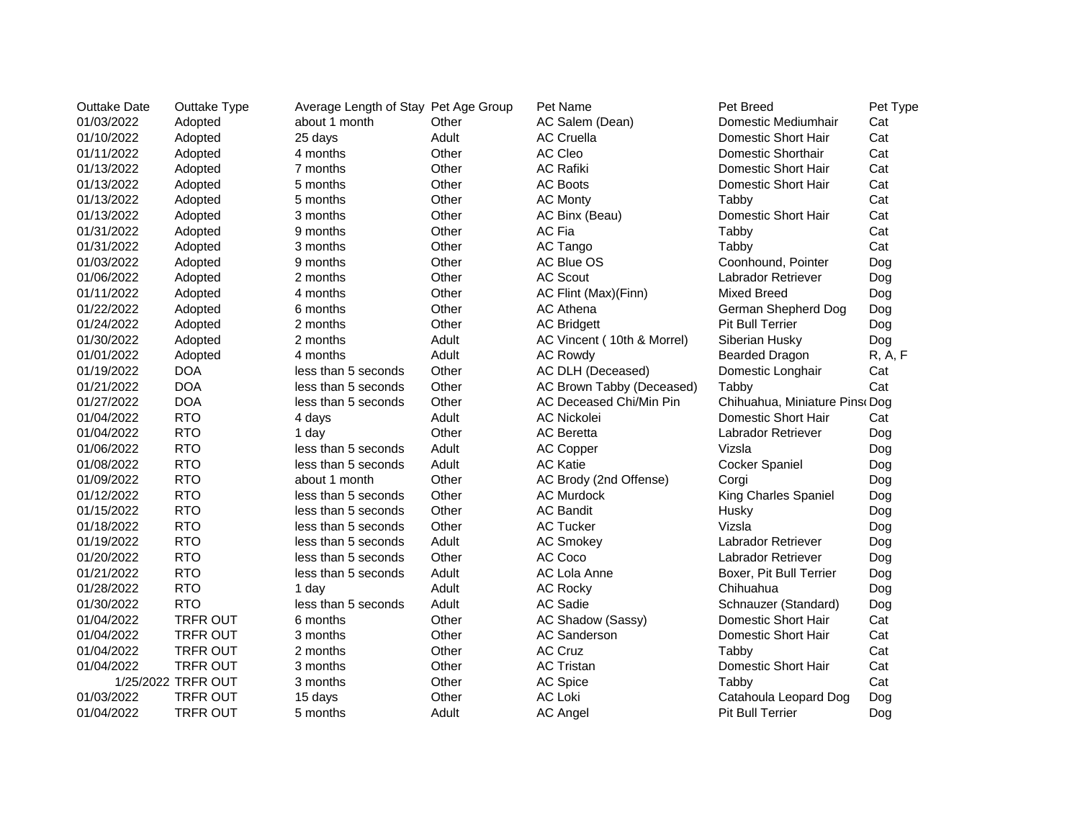| <b>Outtake Date</b> | Outtake Type       | Average Length of Stay Pet Age Group |       | Pet Name                   | Pet Breed                     | Pet Type |
|---------------------|--------------------|--------------------------------------|-------|----------------------------|-------------------------------|----------|
| 01/03/2022          | Adopted            | about 1 month                        | Other | AC Salem (Dean)            | Domestic Mediumhair           | Cat      |
| 01/10/2022          | Adopted            | 25 days                              | Adult | <b>AC Cruella</b>          | Domestic Short Hair           | Cat      |
| 01/11/2022          | Adopted            | 4 months                             | Other | AC Cleo                    | Domestic Shorthair            | Cat      |
| 01/13/2022          | Adopted            | 7 months                             | Other | <b>AC Rafiki</b>           | Domestic Short Hair           | Cat      |
| 01/13/2022          | Adopted            | 5 months                             | Other | <b>AC Boots</b>            | Domestic Short Hair           | Cat      |
| 01/13/2022          | Adopted            | 5 months                             | Other | <b>AC Monty</b>            | Tabby                         | Cat      |
| 01/13/2022          | Adopted            | 3 months                             | Other | AC Binx (Beau)             | Domestic Short Hair           | Cat      |
| 01/31/2022          | Adopted            | 9 months                             | Other | AC Fia                     | Tabby                         | Cat      |
| 01/31/2022          | Adopted            | 3 months                             | Other | AC Tango                   | Tabby                         | Cat      |
| 01/03/2022          | Adopted            | 9 months                             | Other | AC Blue OS                 | Coonhound, Pointer            | Dog      |
| 01/06/2022          | Adopted            | 2 months                             | Other | <b>AC Scout</b>            | Labrador Retriever            | Dog      |
| 01/11/2022          | Adopted            | 4 months                             | Other | AC Flint (Max)(Finn)       | <b>Mixed Breed</b>            | Dog      |
| 01/22/2022          | Adopted            | 6 months                             | Other | <b>AC Athena</b>           | German Shepherd Dog           | Dog      |
| 01/24/2022          | Adopted            | 2 months                             | Other | <b>AC Bridgett</b>         | <b>Pit Bull Terrier</b>       | Dog      |
| 01/30/2022          | Adopted            | 2 months                             | Adult | AC Vincent (10th & Morrel) | Siberian Husky                | Dog      |
| 01/01/2022          | Adopted            | 4 months                             | Adult | <b>AC Rowdy</b>            | <b>Bearded Dragon</b>         | R, A, F  |
| 01/19/2022          | <b>DOA</b>         | less than 5 seconds                  | Other | AC DLH (Deceased)          | Domestic Longhair             | Cat      |
| 01/21/2022          | <b>DOA</b>         | less than 5 seconds                  | Other | AC Brown Tabby (Deceased)  | Tabby                         | Cat      |
| 01/27/2022          | <b>DOA</b>         | less than 5 seconds                  | Other | AC Deceased Chi/Min Pin    | Chihuahua, Miniature Pins Dog |          |
| 01/04/2022          | <b>RTO</b>         | 4 days                               | Adult | AC Nickolei                | Domestic Short Hair           | Cat      |
| 01/04/2022          | <b>RTO</b>         | 1 day                                | Other | <b>AC</b> Beretta          | Labrador Retriever            | Dog      |
| 01/06/2022          | <b>RTO</b>         | less than 5 seconds                  | Adult | AC Copper                  | Vizsla                        | Dog      |
| 01/08/2022          | <b>RTO</b>         | less than 5 seconds                  | Adult | <b>AC Katie</b>            | <b>Cocker Spaniel</b>         | Dog      |
| 01/09/2022          | <b>RTO</b>         | about 1 month                        | Other | AC Brody (2nd Offense)     | Corgi                         | Dog      |
| 01/12/2022          | <b>RTO</b>         | less than 5 seconds                  | Other | <b>AC Murdock</b>          | King Charles Spaniel          | Dog      |
| 01/15/2022          | <b>RTO</b>         | less than 5 seconds                  | Other | <b>AC Bandit</b>           | Husky                         | Dog      |
| 01/18/2022          | <b>RTO</b>         | less than 5 seconds                  | Other | <b>AC Tucker</b>           | Vizsla                        | Dog      |
| 01/19/2022          | <b>RTO</b>         | less than 5 seconds                  | Adult | <b>AC Smokey</b>           | Labrador Retriever            | Dog      |
| 01/20/2022          | <b>RTO</b>         | less than 5 seconds                  | Other | AC Coco                    | Labrador Retriever            | Dog      |
| 01/21/2022          | <b>RTO</b>         | less than 5 seconds                  | Adult | AC Lola Anne               | Boxer, Pit Bull Terrier       | Dog      |
| 01/28/2022          | <b>RTO</b>         | 1 day                                | Adult | <b>AC Rocky</b>            | Chihuahua                     | Dog      |
| 01/30/2022          | <b>RTO</b>         | less than 5 seconds                  | Adult | AC Sadie                   | Schnauzer (Standard)          | Dog      |
| 01/04/2022          | <b>TRFR OUT</b>    | 6 months                             | Other | AC Shadow (Sassy)          | Domestic Short Hair           | Cat      |
| 01/04/2022          | <b>TRFR OUT</b>    | 3 months                             | Other | <b>AC Sanderson</b>        | Domestic Short Hair           | Cat      |
| 01/04/2022          | TRFR OUT           | 2 months                             | Other | <b>AC Cruz</b>             | Tabby                         | Cat      |
| 01/04/2022          | <b>TRFR OUT</b>    | 3 months                             | Other | <b>AC Tristan</b>          | Domestic Short Hair           | Cat      |
|                     | 1/25/2022 TRFR OUT | 3 months                             | Other | AC Spice                   | Tabby                         | Cat      |
| 01/03/2022          | <b>TRFR OUT</b>    | 15 days                              | Other | AC Loki                    | Catahoula Leopard Dog         | Dog      |
| 01/04/2022          | <b>TRFR OUT</b>    | 5 months                             | Adult | <b>AC Angel</b>            | <b>Pit Bull Terrier</b>       | Dog      |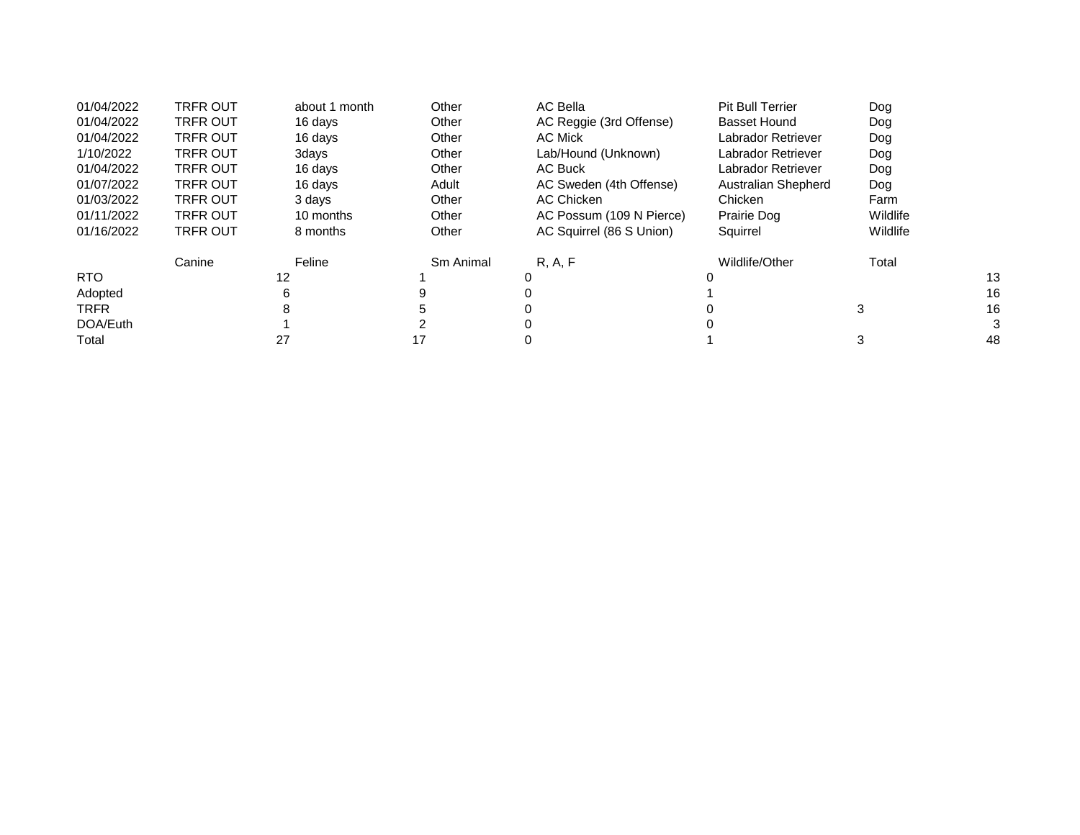| 01/04/2022  | <b>TRFR OUT</b> | about 1 month | Other     | AC Bella                 | <b>Pit Bull Terrier</b> | Dog      |    |
|-------------|-----------------|---------------|-----------|--------------------------|-------------------------|----------|----|
| 01/04/2022  | <b>TRFR OUT</b> | 16 days       | Other     | AC Reggie (3rd Offense)  | Basset Hound            | Dog      |    |
| 01/04/2022  | <b>TRFR OUT</b> | 16 days       | Other     | AC Mick                  | Labrador Retriever      | Dog      |    |
| 1/10/2022   | <b>TRFR OUT</b> | 3days         | Other     | Lab/Hound (Unknown)      | Labrador Retriever      | Dog      |    |
| 01/04/2022  | <b>TRFR OUT</b> | 16 days       | Other     | AC Buck                  | Labrador Retriever      | Dog      |    |
| 01/07/2022  | <b>TRFR OUT</b> | 16 days       | Adult     | AC Sweden (4th Offense)  | Australian Shepherd     | Dog      |    |
| 01/03/2022  | <b>TRFR OUT</b> | 3 days        | Other     | AC Chicken               | Chicken                 | Farm     |    |
| 01/11/2022  | <b>TRFR OUT</b> | 10 months     | Other     | AC Possum (109 N Pierce) | Prairie Dog             | Wildlife |    |
| 01/16/2022  | <b>TRFR OUT</b> | 8 months      | Other     | AC Squirrel (86 S Union) | Squirrel                | Wildlife |    |
|             | Canine          | Feline        | Sm Animal | R, A, F                  | Wildlife/Other          | Total    |    |
| <b>RTO</b>  |                 | 12            |           | 0                        |                         |          | 13 |
| Adopted     |                 | հ             |           |                          |                         |          | 16 |
| <b>TRFR</b> |                 |               |           |                          |                         | 3        | 16 |
| DOA/Euth    |                 |               |           |                          |                         |          | 3  |
| Total       |                 | 27            |           |                          |                         |          | 48 |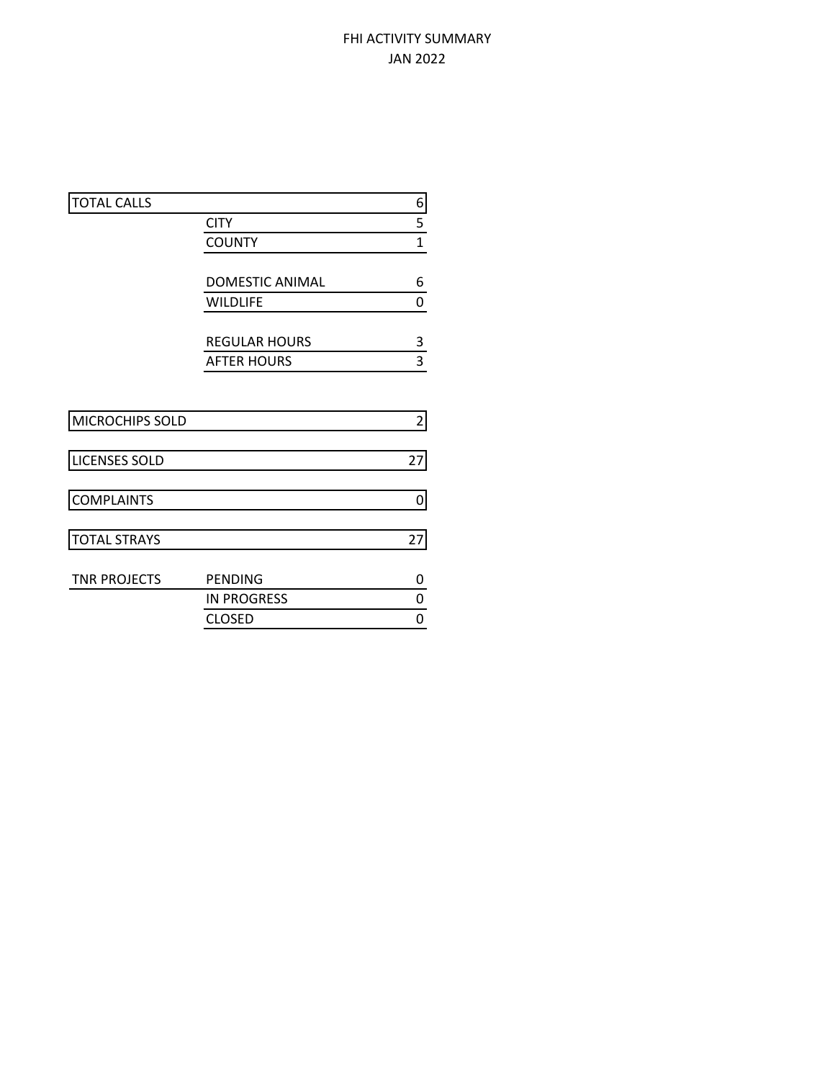## FHI ACTIVITY SUMMARY JAN 2022

|                        | 6                                          |
|------------------------|--------------------------------------------|
| <b>CITY</b>            | 5                                          |
| <b>COUNTY</b>          | $\mathbf 1$                                |
|                        |                                            |
| <b>DOMESTIC ANIMAL</b> | 6                                          |
| <b>WILDLIFE</b>        | 0                                          |
|                        | 3                                          |
|                        | 3                                          |
|                        |                                            |
|                        |                                            |
|                        | $\overline{2}$                             |
|                        | 27                                         |
|                        | 0                                          |
|                        | 27                                         |
|                        |                                            |
| PENDING                | 0                                          |
| <b>IN PROGRESS</b>     | 0                                          |
| <b>CLOSED</b>          | 0                                          |
|                        | <b>REGULAR HOURS</b><br><b>AFTER HOURS</b> |